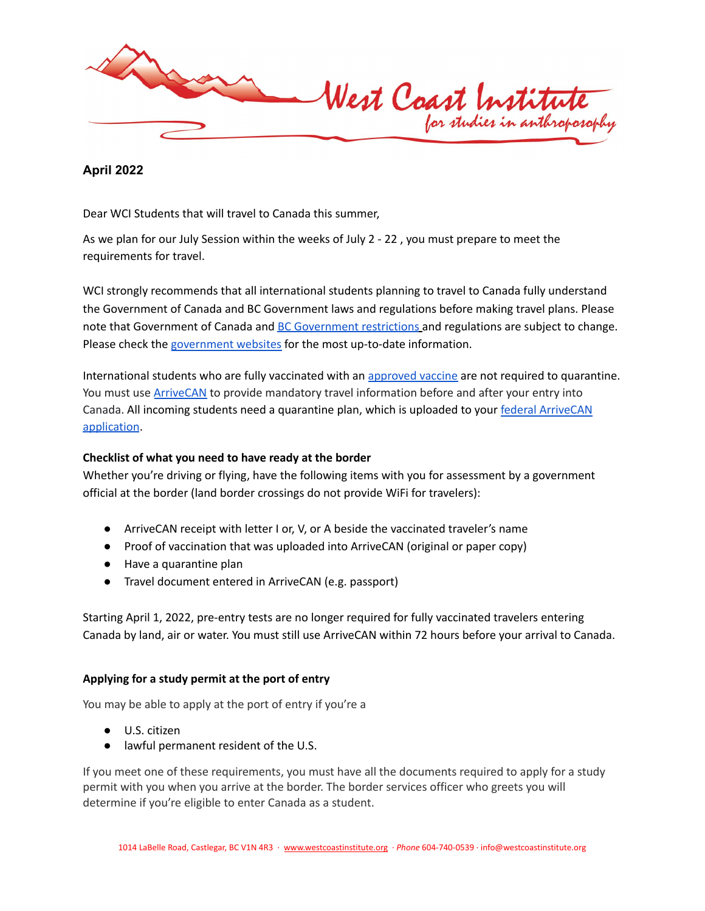

**April 2022**

Dear WCI Students that will travel to Canada this summer,

As we plan for our July Session within the weeks of July 2 - 22 , you must prepare to meet the requirements for travel.

WCI strongly recommends that all international students planning to travel to Canada fully understand the Government of Canada and BC Government laws and regulations before making travel plans. Please note that [Government](https://travel.gc.ca/travel-covid/travel-restrictions/provinces) of Canada and BC Government restrictions and regulations are subject to change. Please check the [government](https://travel.gc.ca/travel-covid/) websites for the most up-to-date information.

International students who are fully vaccinated with an [approved](https://www.canada.ca/en/health-canada/services/drugs-health-products/covid19-industry/drugs-vaccines-treatments/vaccines.html) vaccine are not required to quarantine. You must use **[ArriveCAN](https://www.canada.ca/en/public-health/services/diseases/coronavirus-disease-covid-19/arrivecan.html#a3)** to provide mandatory travel information before and after your entry into Canada. All incoming students need a quarantine plan, which is uploaded to your federal [ArriveCAN](https://www.canada.ca/en/public-health/services/diseases/coronavirus-disease-covid-19/arrivecan.html) [application](https://www.canada.ca/en/public-health/services/diseases/coronavirus-disease-covid-19/arrivecan.html).

## **Checklist of what you need to have ready at the border**

Whether you're driving or flying, have the following items with you for assessment by a government official at the border (land border crossings do not provide WiFi for travelers):

- ArriveCAN receipt with letter I or, V, or A beside the vaccinated traveler's name
- Proof of vaccination that was uploaded into ArriveCAN (original or paper copy)
- Have a quarantine plan
- Travel document entered in ArriveCAN (e.g. passport)

Starting April 1, 2022, pre-entry tests are no longer required for fully vaccinated travelers entering Canada by land, air or water. You must still use ArriveCAN within 72 hours before your arrival to Canada.

## **Applying for a study permit at the port of entry**

You may be able to apply at the port of entry if you're a

- U.S. citizen
- lawful permanent resident of the U.S.

If you meet one of these requirements, you must have all the documents required to apply for a study permit with you when you arrive at the border. The border services officer who greets you will determine if you're eligible to enter Canada as a student.